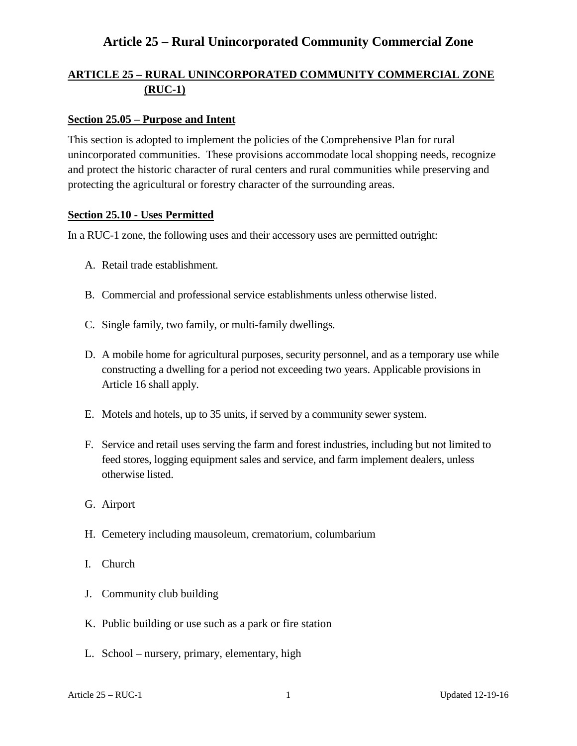### **ARTICLE 25 – RURAL UNINCORPORATED COMMUNITY COMMERCIAL ZONE (RUC-1)**

#### **Section 25.05 – Purpose and Intent**

This section is adopted to implement the policies of the Comprehensive Plan for rural unincorporated communities. These provisions accommodate local shopping needs, recognize and protect the historic character of rural centers and rural communities while preserving and protecting the agricultural or forestry character of the surrounding areas.

#### **Section 25.10 - Uses Permitted**

In a RUC-1 zone, the following uses and their accessory uses are permitted outright:

- A. Retail trade establishment.
- B. Commercial and professional service establishments unless otherwise listed.
- C. Single family, two family, or multi-family dwellings.
- D. A mobile home for agricultural purposes, security personnel, and as a temporary use while constructing a dwelling for a period not exceeding two years. Applicable provisions in Article 16 shall apply.
- E. Motels and hotels, up to 35 units, if served by a community sewer system.
- F. Service and retail uses serving the farm and forest industries, including but not limited to feed stores, logging equipment sales and service, and farm implement dealers, unless otherwise listed.
- G. Airport
- H. Cemetery including mausoleum, crematorium, columbarium
- I. Church
- J. Community club building
- K. Public building or use such as a park or fire station
- L. School nursery, primary, elementary, high

Article 25 – RUC-1 1 Updated 12-19-16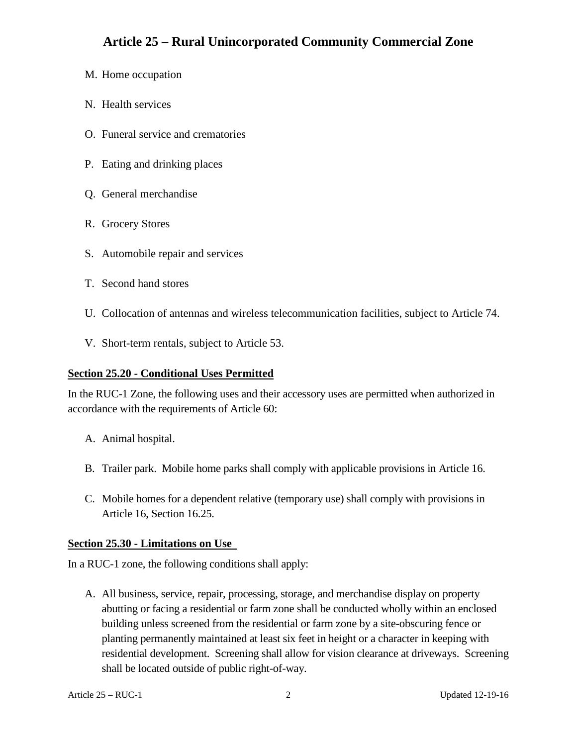- M. Home occupation
- N. Health services
- O. Funeral service and crematories
- P. Eating and drinking places
- Q. General merchandise
- R. Grocery Stores
- S. Automobile repair and services
- T. Second hand stores
- U. Collocation of antennas and wireless telecommunication facilities, subject to Article 74.
- V. Short-term rentals, subject to Article 53.

#### **Section 25.20 - Conditional Uses Permitted**

In the RUC-1 Zone, the following uses and their accessory uses are permitted when authorized in accordance with the requirements of Article 60:

- A. Animal hospital.
- B. Trailer park. Mobile home parks shall comply with applicable provisions in Article 16.
- C. Mobile homes for a dependent relative (temporary use) shall comply with provisions in Article 16, Section 16.25.

#### **Section 25.30 - Limitations on Use**

In a RUC-1 zone, the following conditions shall apply:

A. All business, service, repair, processing, storage, and merchandise display on property abutting or facing a residential or farm zone shall be conducted wholly within an enclosed building unless screened from the residential or farm zone by a site-obscuring fence or planting permanently maintained at least six feet in height or a character in keeping with residential development. Screening shall allow for vision clearance at driveways. Screening shall be located outside of public right-of-way.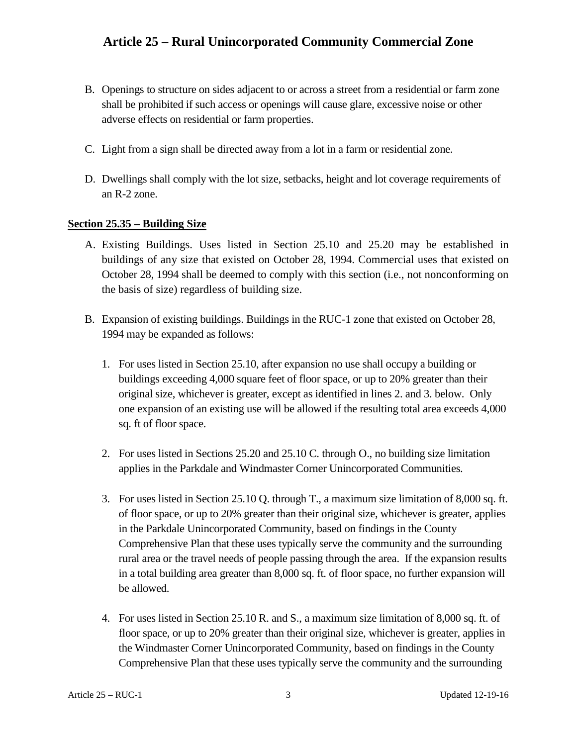- B. Openings to structure on sides adjacent to or across a street from a residential or farm zone shall be prohibited if such access or openings will cause glare, excessive noise or other adverse effects on residential or farm properties.
- C. Light from a sign shall be directed away from a lot in a farm or residential zone.
- D. Dwellings shall comply with the lot size, setbacks, height and lot coverage requirements of an R-2 zone.

#### **Section 25.35 – Building Size**

- A. Existing Buildings. Uses listed in Section 25.10 and 25.20 may be established in buildings of any size that existed on October 28, 1994. Commercial uses that existed on October 28, 1994 shall be deemed to comply with this section (i.e., not nonconforming on the basis of size) regardless of building size.
- B. Expansion of existing buildings. Buildings in the RUC-1 zone that existed on October 28, 1994 may be expanded as follows:
	- 1. For uses listed in Section 25.10, after expansion no use shall occupy a building or buildings exceeding 4,000 square feet of floor space, or up to 20% greater than their original size, whichever is greater, except as identified in lines 2. and 3. below. Only one expansion of an existing use will be allowed if the resulting total area exceeds 4,000 sq. ft of floor space.
	- 2. For uses listed in Sections 25.20 and 25.10 C. through O., no building size limitation applies in the Parkdale and Windmaster Corner Unincorporated Communities.
	- 3. For uses listed in Section 25.10 Q. through T., a maximum size limitation of 8,000 sq. ft. of floor space, or up to 20% greater than their original size, whichever is greater, applies in the Parkdale Unincorporated Community, based on findings in the County Comprehensive Plan that these uses typically serve the community and the surrounding rural area or the travel needs of people passing through the area. If the expansion results in a total building area greater than 8,000 sq. ft. of floor space, no further expansion will be allowed.
	- 4. For uses listed in Section 25.10 R. and S., a maximum size limitation of 8,000 sq. ft. of floor space, or up to 20% greater than their original size, whichever is greater, applies in the Windmaster Corner Unincorporated Community, based on findings in the County Comprehensive Plan that these uses typically serve the community and the surrounding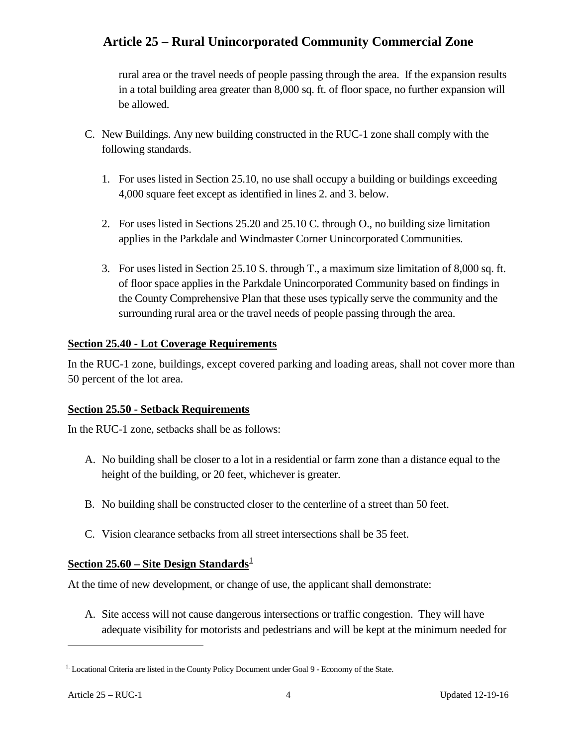rural area or the travel needs of people passing through the area. If the expansion results in a total building area greater than 8,000 sq. ft. of floor space, no further expansion will be allowed.

- C. New Buildings. Any new building constructed in the RUC-1 zone shall comply with the following standards.
	- 1. For uses listed in Section 25.10, no use shall occupy a building or buildings exceeding 4,000 square feet except as identified in lines 2. and 3. below.
	- 2. For uses listed in Sections 25.20 and 25.10 C. through O., no building size limitation applies in the Parkdale and Windmaster Corner Unincorporated Communities.
	- 3. For uses listed in Section 25.10 S. through T., a maximum size limitation of 8,000 sq. ft. of floor space applies in the Parkdale Unincorporated Community based on findings in the County Comprehensive Plan that these uses typically serve the community and the surrounding rural area or the travel needs of people passing through the area.

### **Section 25.40 - Lot Coverage Requirements**

In the RUC-1 zone, buildings, except covered parking and loading areas, shall not cover more than 50 percent of the lot area.

### **Section 25.50 - Setback Requirements**

In the RUC-1 zone, setbacks shall be as follows:

- A. No building shall be closer to a lot in a residential or farm zone than a distance equal to the height of the building, or 20 feet, whichever is greater.
- B. No building shall be constructed closer to the centerline of a street than 50 feet.
- C. Vision clearance setbacks from all street intersections shall be 35 feet.

# **Section 25.60 – Site Design Standards**<sup>[1](#page-3-0)</sup>

At the time of new development, or change of use, the applicant shall demonstrate:

A. Site access will not cause dangerous intersections or traffic congestion. They will have adequate visibility for motorists and pedestrians and will be kept at the minimum needed for

 $\overline{a}$ 

<span id="page-3-0"></span><sup>&</sup>lt;sup>1.</sup> Locational Criteria are listed in the County Policy Document under Goal 9 - Economy of the State.